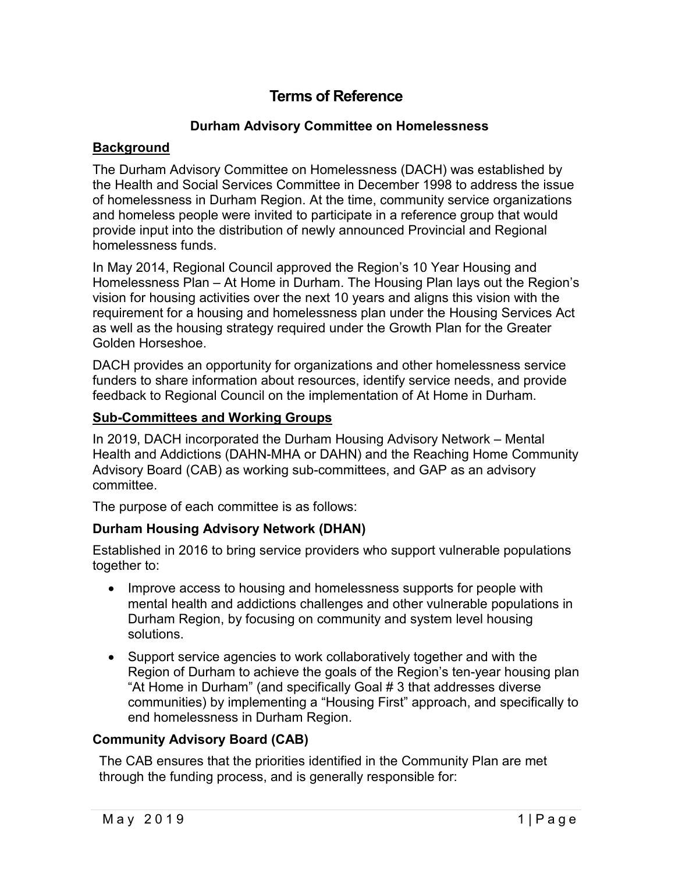# **Terms of Reference**

## **Durham Advisory Committee on Homelessness**

#### **Background**

The Durham Advisory Committee on Homelessness (DACH) was established by the Health and Social Services Committee in December 1998 to address the issue of homelessness in Durham Region. At the time, community service organizations and homeless people were invited to participate in a reference group that would provide input into the distribution of newly announced Provincial and Regional homelessness funds.

In May 2014, Regional Council approved the Region's 10 Year Housing and Homelessness Plan – At Home in Durham. The Housing Plan lays out the Region's vision for housing activities over the next 10 years and aligns this vision with the requirement for a housing and homelessness plan under the Housing Services Act as well as the housing strategy required under the Growth Plan for the Greater Golden Horseshoe.

DACH provides an opportunity for organizations and other homelessness service funders to share information about resources, identify service needs, and provide feedback to Regional Council on the implementation of At Home in Durham.

#### **Sub-Committees and Working Groups**

In 2019, DACH incorporated the Durham Housing Advisory Network – Mental Health and Addictions (DAHN-MHA or DAHN) and the Reaching Home Community Advisory Board (CAB) as working sub-committees, and GAP as an advisory committee.

The purpose of each committee is as follows:

## **Durham Housing Advisory Network (DHAN)**

Established in 2016 to bring service providers who support vulnerable populations together to:

- Improve access to housing and homelessness supports for people with mental health and addictions challenges and other vulnerable populations in Durham Region, by focusing on community and system level housing solutions.
- Support service agencies to work collaboratively together and with the Region of Durham to achieve the goals of the Region's ten-year housing plan "At Home in Durham" (and specifically Goal # 3 that addresses diverse communities) by implementing a "Housing First" approach, and specifically to end homelessness in Durham Region.

## **Community Advisory Board (CAB)**

The CAB ensures that the priorities identified in the Community Plan are met through the funding process, and is generally responsible for: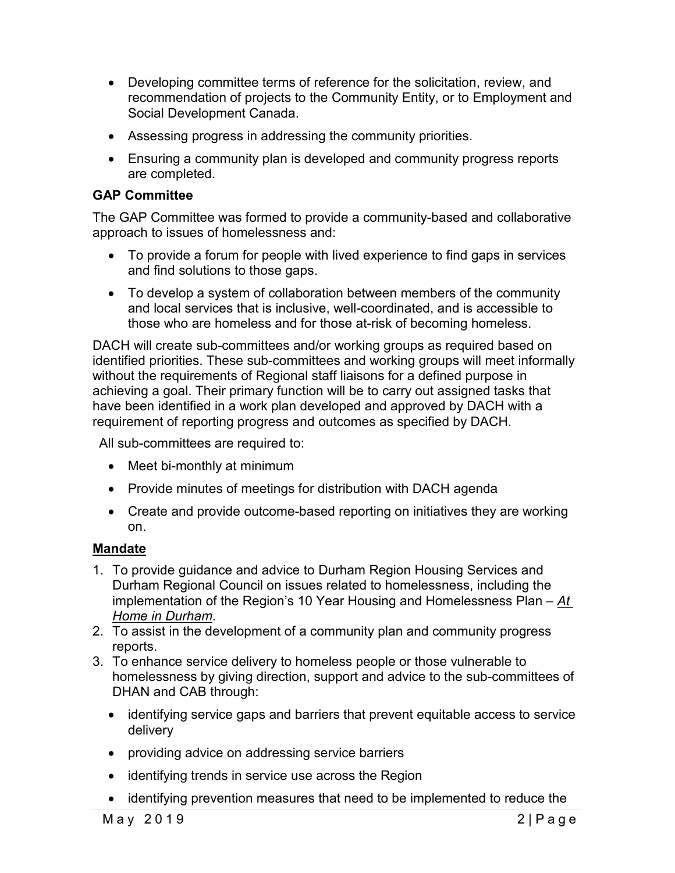- Developing committee terms of reference for the solicitation, review, and recommendation of projects to the Community Entity, or to Employment and Social Development Canada.
- Assessing progress in addressing the community priorities.
- Ensuring a community plan is developed and community progress reports are completed.

## **GAP Committee**

The GAP Committee was formed to provide a community-based and collaborative approach to issues of homelessness and:

- To provide a forum for people with lived experience to find gaps in services and find solutions to those gaps.
- To develop a system of collaboration between members of the community and local services that is inclusive, well-coordinated, and is accessible to those who are homeless and for those at-risk of becoming homeless.

DACH will create sub-committees and/or working groups as required based on identified priorities. These sub-committees and working groups will meet informally without the requirements of Regional staff liaisons for a defined purpose in achieving a goal. Their primary function will be to carry out assigned tasks that have been identified in a work plan developed and approved by DACH with a requirement of reporting progress and outcomes as specified by DACH.

All sub-committees are required to:

- Meet bi-monthly at minimum
- Provide minutes of meetings for distribution with DACH agenda
- Create and provide outcome-based reporting on initiatives they are working on.

## **Mandate**

- 1. To provide guidance and advice to Durham Region Housing Services and Durham Regional Council on issues related to homelessness, including the implementation of the Region's 10 Year Housing and Homelessness Plan – *At Home in Durham*.
- 2. To assist in the development of a community plan and community progress reports.
- 3. To enhance service delivery to homeless people or those vulnerable to homelessness by giving direction, support and advice to the sub-committees of DHAN and CAB through:
	- identifying service gaps and barriers that prevent equitable access to service delivery
	- providing advice on addressing service barriers
	- identifying trends in service use across the Region
	- identifying prevention measures that need to be implemented to reduce the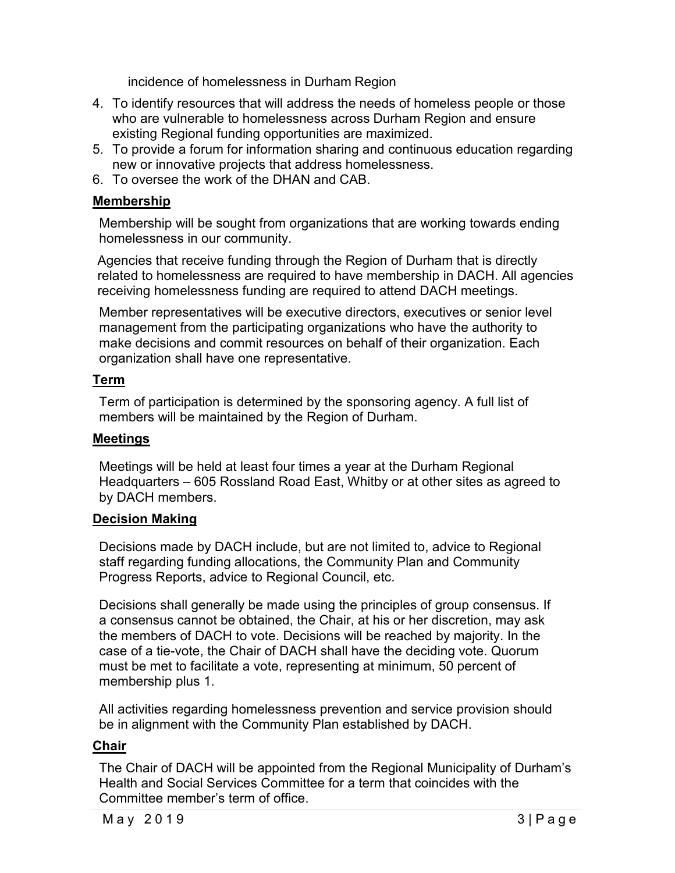incidence of homelessness in Durham Region

- 4. To identify resources that will address the needs of homeless people or those who are vulnerable to homelessness across Durham Region and ensure existing Regional funding opportunities are maximized.
- 5. To provide a forum for information sharing and continuous education regarding new or innovative projects that address homelessness.
- 6. To oversee the work of the DHAN and CAB.

#### **Membership**

Membership will be sought from organizations that are working towards ending homelessness in our community.

Agencies that receive funding through the Region of Durham that is directly related to homelessness are required to have membership in DACH. All agencies receiving homelessness funding are required to attend DACH meetings.

Member representatives will be executive directors, executives or senior level management from the participating organizations who have the authority to make decisions and commit resources on behalf of their organization. Each organization shall have one representative.

#### **Term**

Term of participation is determined by the sponsoring agency. A full list of members will be maintained by the Region of Durham.

#### **Meetings**

Meetings will be held at least four times a year at the Durham Regional Headquarters – 605 Rossland Road East, Whitby or at other sites as agreed to by DACH members.

## **Decision Making**

Decisions made by DACH include, but are not limited to, advice to Regional staff regarding funding allocations, the Community Plan and Community Progress Reports, advice to Regional Council, etc.

Decisions shall generally be made using the principles of group consensus. If a consensus cannot be obtained, the Chair, at his or her discretion, may ask the members of DACH to vote. Decisions will be reached by majority. In the case of a tie-vote, the Chair of DACH shall have the deciding vote. Quorum must be met to facilitate a vote, representing at minimum, 50 percent of membership plus 1.

All activities regarding homelessness prevention and service provision should be in alignment with the Community Plan established by DACH.

## **Chair**

The Chair of DACH will be appointed from the Regional Municipality of Durham's Health and Social Services Committee for a term that coincides with the Committee member's term of office.